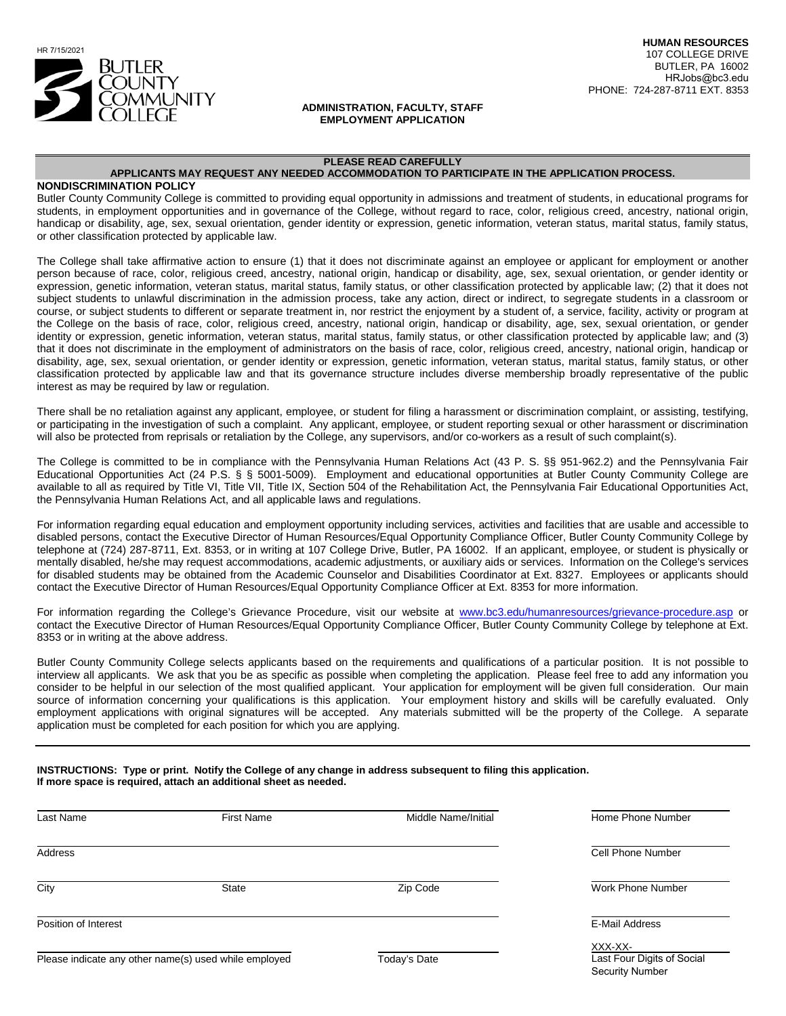

#### **ADMINISTRATION, FACULTY, STAFF EMPLOYMENT APPLICATION**

#### **PLEASE READ CAREFULLY**

#### **APPLICANTS MAY REQUEST ANY NEEDED ACCOMMODATION TO PARTICIPATE IN THE APPLICATION PROCESS.**

#### **NONDISCRIMINATION POLICY**

Butler County Community College is committed to providing equal opportunity in admissions and treatment of students, in educational programs for students, in employment opportunities and in governance of the College, without regard to race, color, religious creed, ancestry, national origin, handicap or disability, age, sex, sexual orientation, gender identity or expression, genetic information, veteran status, marital status, family status, or other classification protected by applicable law.

The College shall take affirmative action to ensure (1) that it does not discriminate against an employee or applicant for employment or another person because of race, color, religious creed, ancestry, national origin, handicap or disability, age, sex, sexual orientation, or gender identity or expression, genetic information, veteran status, marital status, family status, or other classification protected by applicable law; (2) that it does not subject students to unlawful discrimination in the admission process, take any action, direct or indirect, to segregate students in a classroom or course, or subject students to different or separate treatment in, nor restrict the enjoyment by a student of, a service, facility, activity or program at the College on the basis of race, color, religious creed, ancestry, national origin, handicap or disability, age, sex, sexual orientation, or gender identity or expression, genetic information, veteran status, marital status, family status, or other classification protected by applicable law; and (3) that it does not discriminate in the employment of administrators on the basis of race, color, religious creed, ancestry, national origin, handicap or disability, age, sex, sexual orientation, or gender identity or expression, genetic information, veteran status, marital status, family status, or other classification protected by applicable law and that its governance structure includes diverse membership broadly representative of the public interest as may be required by law or regulation.

There shall be no retaliation against any applicant, employee, or student for filing a harassment or discrimination complaint, or assisting, testifying, or participating in the investigation of such a complaint. Any applicant, employee, or student reporting sexual or other harassment or discrimination will also be protected from reprisals or retaliation by the College, any supervisors, and/or co-workers as a result of such complaint(s).

The College is committed to be in compliance with the Pennsylvania Human Relations Act (43 P. S. §§ 951-962.2) and the Pennsylvania Fair Educational Opportunities Act (24 P.S. § § 5001-5009). Employment and educational opportunities at Butler County Community College are available to all as required by Title VI, Title VII, Title IX, Section 504 of the Rehabilitation Act, the Pennsylvania Fair Educational Opportunities Act, the Pennsylvania Human Relations Act, and all applicable laws and regulations.

For information regarding equal education and employment opportunity including services, activities and facilities that are usable and accessible to disabled persons, contact the Executive Director of Human Resources/Equal Opportunity Compliance Officer, Butler County Community College by telephone at (724) 287-8711, Ext. 8353, or in writing at 107 College Drive, Butler, PA 16002. If an applicant, employee, or student is physically or mentally disabled, he/she may request accommodations, academic adjustments, or auxiliary aids or services. Information on the College's services for disabled students may be obtained from the Academic Counselor and Disabilities Coordinator at Ext. 8327. Employees or applicants should contact the Executive Director of Human Resources/Equal Opportunity Compliance Officer at Ext. 8353 for more information.

For information regarding the College's Grievance Procedure, visit our website at [www.bc3.edu/humanresources/grievance-procedure.asp](http://www.bc3.edu/humanresources/grievance-procedure.asp) or contact the Executive Director of Human Resources/Equal Opportunity Compliance Officer, Butler County Community College by telephone at Ext. 8353 or in writing at the above address.

Butler County Community College selects applicants based on the requirements and qualifications of a particular position. It is not possible to interview all applicants. We ask that you be as specific as possible when completing the application. Please feel free to add any information you consider to be helpful in our selection of the most qualified applicant. Your application for employment will be given full consideration. Our main source of information concerning your qualifications is this application. Your employment history and skills will be carefully evaluated. Only employment applications with original signatures will be accepted. Any materials submitted will be the property of the College. A separate application must be completed for each position for which you are applying.

#### **INSTRUCTIONS: Type or print. Notify the College of any change in address subsequent to filing this application. If more space is required, attach an additional sheet as needed.**

| Last Name            | <b>First Name</b> | Middle Name/Initial | Home Phone Number        |
|----------------------|-------------------|---------------------|--------------------------|
| Address              |                   |                     | Cell Phone Number        |
| City                 | <b>State</b>      | Zip Code            | <b>Work Phone Number</b> |
| Position of Interest |                   |                     | E-Mail Address           |
|                      |                   |                     | XXX-XX-                  |

Today's Date **Last Four Digits of Social** Security Number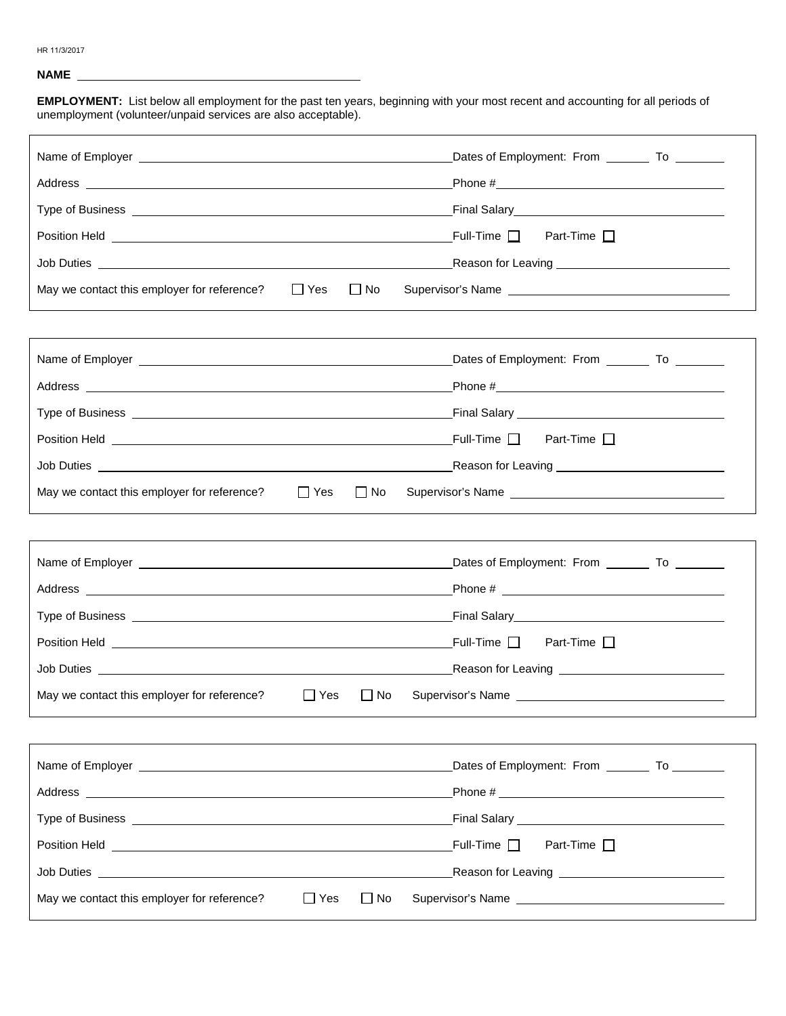## **NAME**

**EMPLOYMENT:** List below all employment for the past ten years, beginning with your most recent and accounting for all periods of unemployment (volunteer/unpaid services are also acceptable).

| Address example and the contract of the contract of the contract of the contract of the contract of the contract of the contract of the contract of the contract of the contract of the contract of the contract of the contra       |                                                      |
|--------------------------------------------------------------------------------------------------------------------------------------------------------------------------------------------------------------------------------------|------------------------------------------------------|
|                                                                                                                                                                                                                                      |                                                      |
|                                                                                                                                                                                                                                      |                                                      |
|                                                                                                                                                                                                                                      |                                                      |
| $\Box$ Yes<br>$\Box$ No<br>May we contact this employer for reference?                                                                                                                                                               |                                                      |
|                                                                                                                                                                                                                                      |                                                      |
| Name of Employer <b>Name of Employer</b> To Letter All and the Control of Letter All and the Dates of Employment: From Letter To Letter All and the United States of Employment: From Letter All and the United States of Employmen  |                                                      |
|                                                                                                                                                                                                                                      |                                                      |
|                                                                                                                                                                                                                                      |                                                      |
|                                                                                                                                                                                                                                      |                                                      |
|                                                                                                                                                                                                                                      |                                                      |
| May we contact this employer for reference?<br>$\Box$ Yes<br>$\Box$ No                                                                                                                                                               | Supervisor's Name                                    |
|                                                                                                                                                                                                                                      |                                                      |
| Name of Employer <b>Name of Employer</b> To Letter All and the Control of Letter All and the Dates of Employment: From Letter To Letter All and the United States of Employment: From Letter All and the United States of Employmen  |                                                      |
|                                                                                                                                                                                                                                      |                                                      |
|                                                                                                                                                                                                                                      |                                                      |
|                                                                                                                                                                                                                                      |                                                      |
|                                                                                                                                                                                                                                      |                                                      |
| May we contact this employer for reference?<br>$\Box$ Yes<br>$\Box$ No                                                                                                                                                               |                                                      |
|                                                                                                                                                                                                                                      |                                                      |
| Name of Employer <u>example and the set of the set of the set of the set of the set of the set of the set of the set of the set of the set of the set of the set of the set of the set of the set of the set of the set of the s</u> | Dates of Employment: From _________ To ________      |
|                                                                                                                                                                                                                                      |                                                      |
|                                                                                                                                                                                                                                      |                                                      |
|                                                                                                                                                                                                                                      | Full-Time $\Box$<br>Part-Time $\square$              |
| Job Duties <b>and the Community of the Community of the Community of the Community of the Community of the Community</b>                                                                                                             | Reason for Leaving <u>__________________________</u> |
| $\Box$ Yes<br>May we contact this employer for reference?<br>$\Box$ No                                                                                                                                                               |                                                      |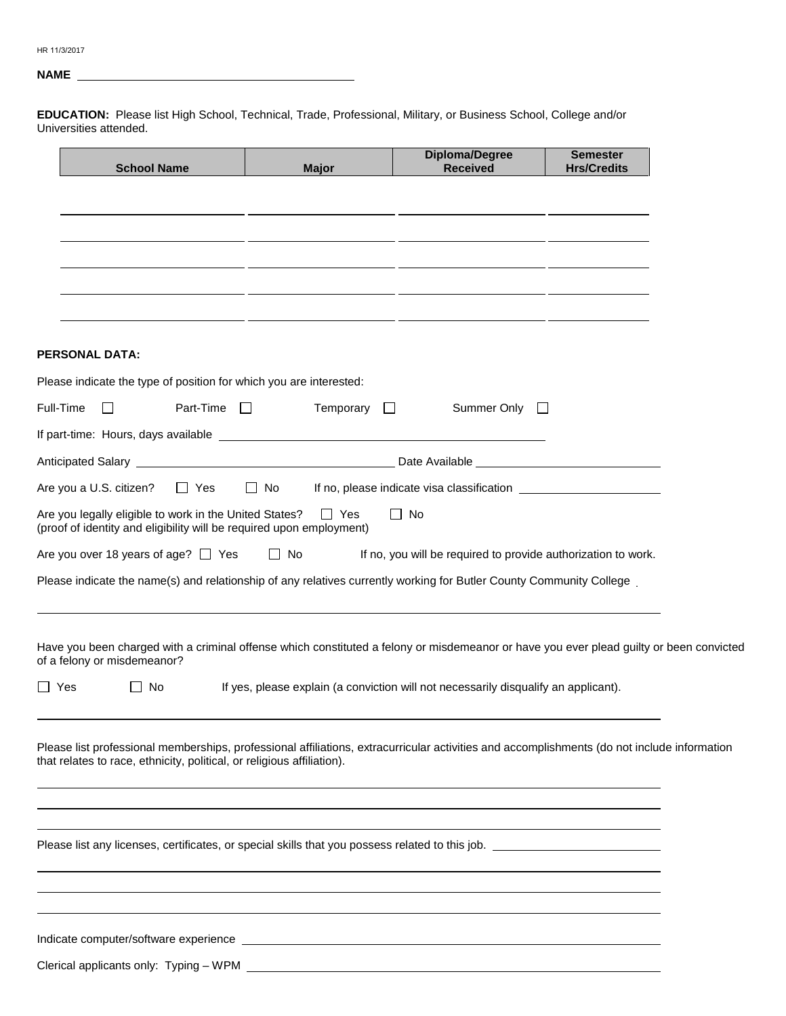# **NAME**

**EDUCATION:** Please list High School, Technical, Trade, Professional, Military, or Business School, College and/or Universities attended.

|                | <b>School Name</b>                                                                                                                                                                                                    | <b>Major</b>                                                                        | <b>Diploma/Degree</b><br><b>Received</b>                                                                             | <b>Semester</b><br><b>Hrs/Credits</b> |  |
|----------------|-----------------------------------------------------------------------------------------------------------------------------------------------------------------------------------------------------------------------|-------------------------------------------------------------------------------------|----------------------------------------------------------------------------------------------------------------------|---------------------------------------|--|
|                |                                                                                                                                                                                                                       |                                                                                     |                                                                                                                      |                                       |  |
|                |                                                                                                                                                                                                                       | <u> 1990 - Jan James Sandarík (f. 1980)</u>                                         |                                                                                                                      |                                       |  |
|                |                                                                                                                                                                                                                       |                                                                                     | <u> 1980 - Jan James James James James James James James James James James James James James James James James J</u> |                                       |  |
|                |                                                                                                                                                                                                                       |                                                                                     |                                                                                                                      |                                       |  |
|                |                                                                                                                                                                                                                       |                                                                                     | <u> 1980 - Jan Samuel II, primeira estadounidense de la contrada de la contrada de la contrada de la contrada de</u> |                                       |  |
|                | <b>PERSONAL DATA:</b>                                                                                                                                                                                                 |                                                                                     |                                                                                                                      |                                       |  |
|                | Please indicate the type of position for which you are interested:                                                                                                                                                    |                                                                                     |                                                                                                                      |                                       |  |
|                | Full-Time<br>Part-Time $\Box$<br>$\mathbf{L}$                                                                                                                                                                         | Temporary $\Box$                                                                    | Summer Only<br>$\Box$                                                                                                |                                       |  |
|                |                                                                                                                                                                                                                       |                                                                                     |                                                                                                                      |                                       |  |
|                |                                                                                                                                                                                                                       |                                                                                     |                                                                                                                      |                                       |  |
|                | Are you a U.S. citizen?<br><b>No. 12 Yes</b>                                                                                                                                                                          | $\Box$ No                                                                           |                                                                                                                      |                                       |  |
|                | Are you legally eligible to work in the United States?<br>(proof of identity and eligibility will be required upon employment)                                                                                        | $\Box$ Yes                                                                          | No                                                                                                                   |                                       |  |
|                | Are you over 18 years of age? $\Box$ Yes $\Box$ No                                                                                                                                                                    |                                                                                     | If no, you will be required to provide authorization to work.                                                        |                                       |  |
|                | Please indicate the name(s) and relationship of any relatives currently working for Butler County Community College                                                                                                   |                                                                                     |                                                                                                                      |                                       |  |
|                |                                                                                                                                                                                                                       |                                                                                     |                                                                                                                      |                                       |  |
|                | Have you been charged with a criminal offense which constituted a felony or misdemeanor or have you ever plead guilty or been convicted<br>of a felony or misdemeanor?                                                |                                                                                     |                                                                                                                      |                                       |  |
| $\blacksquare$ | Yes<br>l I No                                                                                                                                                                                                         | If yes, please explain (a conviction will not necessarily disqualify an applicant). |                                                                                                                      |                                       |  |
|                |                                                                                                                                                                                                                       |                                                                                     |                                                                                                                      |                                       |  |
|                | Please list professional memberships, professional affiliations, extracurricular activities and accomplishments (do not include information<br>that relates to race, ethnicity, political, or religious affiliation). |                                                                                     |                                                                                                                      |                                       |  |
|                |                                                                                                                                                                                                                       |                                                                                     |                                                                                                                      |                                       |  |
|                |                                                                                                                                                                                                                       |                                                                                     |                                                                                                                      |                                       |  |
|                |                                                                                                                                                                                                                       |                                                                                     |                                                                                                                      |                                       |  |
|                |                                                                                                                                                                                                                       |                                                                                     |                                                                                                                      |                                       |  |
|                |                                                                                                                                                                                                                       |                                                                                     |                                                                                                                      |                                       |  |